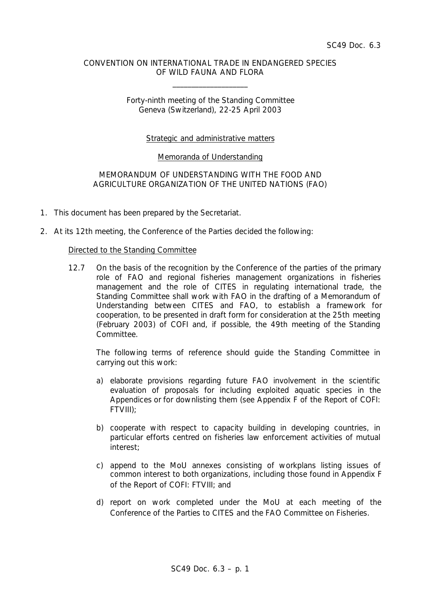#### CONVENTION ON INTERNATIONAL TRADE IN ENDANGERED SPECIES OF WILD FAUNA AND FLORA

\_\_\_\_\_\_\_\_\_\_\_\_\_\_\_\_\_\_\_\_

## Forty-ninth meeting of the Standing Committee Geneva (Switzerland), 22-25 April 2003

## Strategic and administrative matters

#### Memoranda of Understanding

## MEMORANDUM OF UNDERSTANDING WITH THE FOOD AND AGRICULTURE ORGANIZATION OF THE UNITED NATIONS (FAO)

- 1. This document has been prepared by the Secretariat.
- 2. At its 12th meeting, the Conference of the Parties decided the following:

#### *Directed to the Standing Committee*

*12.7 On the basis of the recognition by the Conference of the parties of the primary role of FAO and regional fisheries management organizations in fisheries management and the role of CITES in regulating international trade, the Standing Committee shall work with FAO in the drafting of a Memorandum of Understanding between CITES and FAO, to establish a framework for cooperation, to be presented in draft form for consideration at the 25th meeting (February 2003) of COFI and, if possible, the 49th meeting of the Standing Committee.*

*The following terms of reference should guide the Standing Committee in carrying out this work:*

- *a) elaborate provisions regarding future FAO involvement in the scientific evaluation of proposals for including exploited aquatic species in the Appendices or for downlisting them (see Appendix F of the Report of COFI: FTVIII);*
- *b) cooperate with respect to capacity building in developing countries, in particular efforts centred on fisheries law enforcement activities of mutual interest;*
- *c) append to the MoU annexes consisting of workplans listing issues of common interest to both organizations, including those found in Appendix F of the Report of COFI: FTVIII; and*
- *d) report on work completed under the MoU at each meeting of the Conference of the Parties to CITES and the FAO Committee on Fisheries.*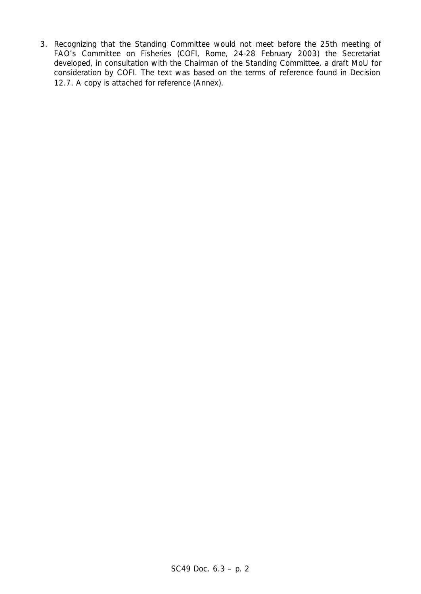3. Recognizing that the Standing Committee would not meet before the 25th meeting of FAO's Committee on Fisheries (COFI, Rome, 24-28 February 2003) the Secretariat developed, in consultation with the Chairman of the Standing Committee, a draft MoU for consideration by COFI. The text was based on the terms of reference found in Decision 12.7. A copy is attached for reference (Annex).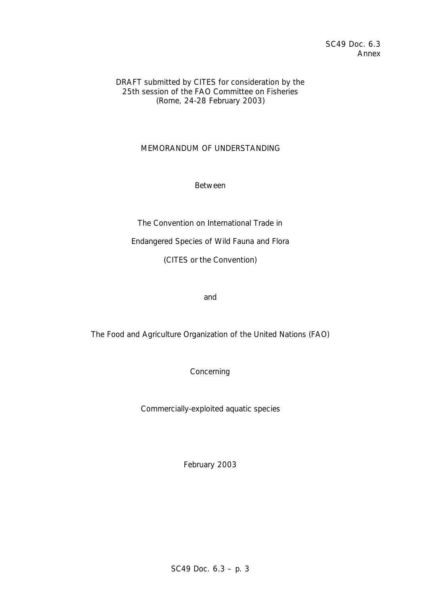DRAFT submitted by CITES for consideration by the 25th session of the FAO Committee on Fisheries (Rome, 24-28 February 2003)

MEMORANDUM OF UNDERSTANDING

Between

The Convention on International Trade in

Endangered Species of Wild Fauna and Flora

(CITES or the Convention)

and

The Food and Agriculture Organization of the United Nations (FAO)

Concerning

Commercially-exploited aquatic species

February 2003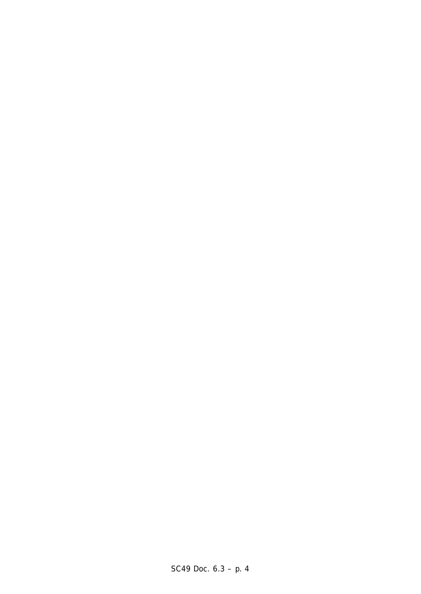SC49 Doc.  $6.3 - p. 4$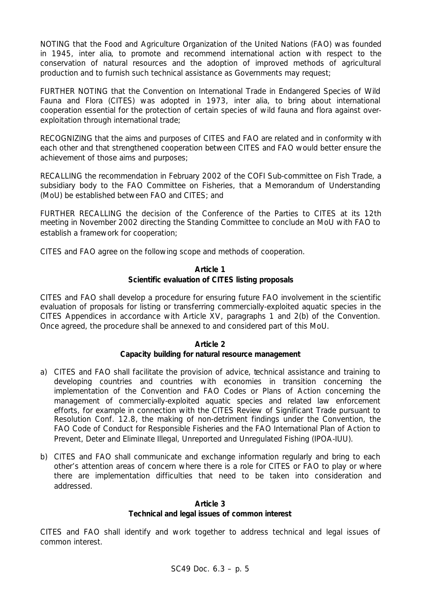NOTING that the Food and Agriculture Organization of the United Nations (FAO) was founded in 1945, *inter alia*, to promote and recommend international action with respect to the conservation of natural resources and the adoption of improved methods of agricultural production and to furnish such technical assistance as Governments may request;

FURTHER NOTING that the Convention on International Trade in Endangered Species of Wild Fauna and Flora (CITES) was adopted in 1973, *inter alia*, to bring about international cooperation essential for the protection of certain species of wild fauna and flora against overexploitation through international trade;

RECOGNIZING that the aims and purposes of CITES and FAO are related and in conformity with each other and that strengthened cooperation between CITES and FAO would better ensure the achievement of those aims and purposes;

RECALLING the recommendation in February 2002 of the COFI Sub-committee on Fish Trade, a subsidiary body to the FAO Committee on Fisheries, that a Memorandum of Understanding (MoU) be established between FAO and CITES; and

FURTHER RECALLING the decision of the Conference of the Parties to CITES at its 12th meeting in November 2002 directing the Standing Committee to conclude an MoU with FAO to establish a framework for cooperation;

CITES and FAO agree on the following scope and methods of cooperation.

## **Article 1 Scientific evaluation of CITES listing proposals**

CITES and FAO shall develop a procedure for ensuring future FAO involvement in the scientific evaluation of proposals for listing or transferring commercially-exploited aquatic species in the CITES Appendices in accordance with Article XV, paragraphs 1 and 2(b) of the Convention. Once agreed, the procedure shall be annexed to and considered part of this MoU.

## **Article 2 Capacity building for natural resource management**

- a) CITES and FAO shall facilitate the provision of advice, technical assistance and training to developing countries and countries with economies in transition concerning the implementation of the Convention and FAO Codes or Plans of Action concerning the management of commercially-exploited aquatic species and related law enforcement efforts, for example in connection with the CITES Review of Significant Trade pursuant to Resolution Conf. 12.8, the making of non-detriment findings under the Convention, the FAO Code of Conduct for Responsible Fisheries and the FAO International Plan of Action to Prevent, Deter and Eliminate Illegal, Unreported and Unregulated Fishing (IPOA-IUU).
- b) CITES and FAO shall communicate and exchange information regularly and bring to each other's attention areas of concern where there is a role for CITES or FAO to play or where there are implementation difficulties that need to be taken into consideration and addressed.

## **Article 3**

## **Technical and legal issues of common interest**

CITES and FAO shall identify and work together to address technical and legal issues of common interest.